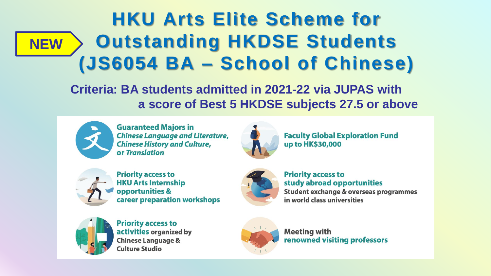#### **HKU Arts Elite Scheme for Outstanding HKDSE Students (JS6054 BA – School of Chinese) NEW**

**Criteria: BA students admitted in 2021-22 via JUPAS with a score of Best 5 HKDSE subjects 27.5 or above** 



**Guaranteed Majors in Chinese Language and Literature, Chinese History and Culture,** or Translation



**Faculty Global Exploration Fund** up to HK\$30,000



**Priority access to HKU Arts Internship** opportunities & career preparation workshops



**Priority access to** study abroad opportunities Student exchange & overseas programmes in world class universities



**Priority access to** activities organized by **Chinese Language & Culture Studio** 



**Meeting with** renowned visiting professors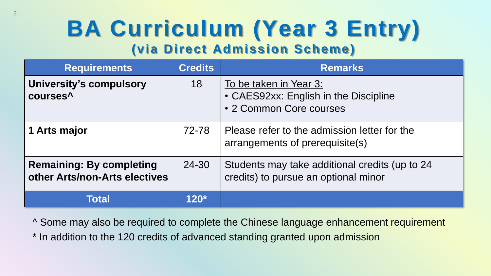#### **BA Curriculum (Year 3 Entry) (via Direct Admission Scheme)**

| <b>Requirements</b>                                              | <b>Credits</b> | <b>Remarks</b>                                                                             |
|------------------------------------------------------------------|----------------|--------------------------------------------------------------------------------------------|
| <b>University's compulsory</b><br>courses <sup>^</sup>           | 18             | To be taken in Year 3:<br>• CAES92xx: English in the Discipline<br>• 2 Common Core courses |
| 1 Arts major                                                     | 72-78          | Please refer to the admission letter for the<br>arrangements of prerequisite(s)            |
| <b>Remaining: By completing</b><br>other Arts/non-Arts electives | 24-30          | Students may take additional credits (up to 24<br>credits) to pursue an optional minor     |
| Total                                                            | $120*$         |                                                                                            |

^ Some may also be required to complete the Chinese language enhancement requirement

\* In addition to the 120 credits of advanced standing granted upon admission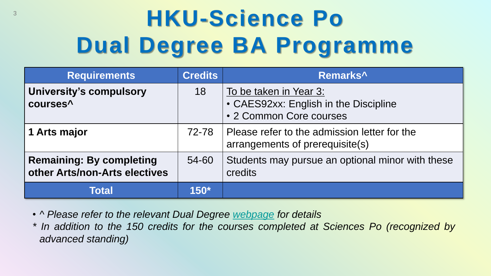## <sup>3</sup> **HKU-Science Po Dual Degree BA Programme**

| <b>Requirements</b>                                              | <b>Credits</b> | Remarks <sup>^'</sup>                                                                      |
|------------------------------------------------------------------|----------------|--------------------------------------------------------------------------------------------|
| <b>University's compulsory</b><br>courses <sup>^</sup>           | 18             | To be taken in Year 3:<br>• CAES92xx: English in the Discipline<br>• 2 Common Core courses |
| 1 Arts major                                                     | 72-78          | Please refer to the admission letter for the<br>arrangements of prerequisite(s)            |
| <b>Remaining: By completing</b><br>other Arts/non-Arts electives | 54-60          | Students may pursue an optional minor with these<br>credits                                |
| <b>Total</b>                                                     | $150^*$        |                                                                                            |

• *^ Please refer to the relevant Dual Degree [webpage](http://arts.hku.hk/current-students/undergraduate/BA/hku-sciences-po) for details*

*\* In addition to the 150 credits for the courses completed at Sciences Po (recognized by advanced standing)*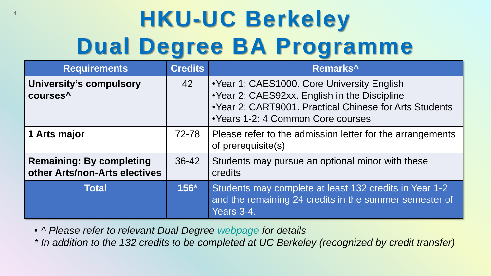### <sup>4</sup> **HKU-UC Berkeley Dual Degree BA Programme**

| <b>Requirements</b>                                              | <b>Credits</b> | Remarks <sup>^</sup>                                                                                                                                                                          |
|------------------------------------------------------------------|----------------|-----------------------------------------------------------------------------------------------------------------------------------------------------------------------------------------------|
| <b>University's compulsory</b><br>courses <sup>^</sup>           | 42             | • Year 1: CAES1000. Core University English<br>• Year 2: CAES92xx. English in the Discipline<br>• Year 2: CART9001. Practical Chinese for Arts Students<br>• Years 1-2: 4 Common Core courses |
| 1 Arts major                                                     | 72-78          | Please refer to the admission letter for the arrangements<br>of prerequisite(s)                                                                                                               |
| <b>Remaining: By completing</b><br>other Arts/non-Arts electives | $36 - 42$      | Students may pursue an optional minor with these<br>credits                                                                                                                                   |
| <b>Total</b>                                                     | $156*$         | Students may complete at least 132 credits in Year 1-2<br>and the remaining 24 credits in the summer semester of<br>Years 3-4.                                                                |

• *^ Please refer to relevant Dual Degree [webpage](http://arts.hku.hk/current-students/undergraduate/BA/hku-ucberkeley) for details*

*\* In addition to the 132 credits to be completed at UC Berkeley (recognized by credit transfer)*